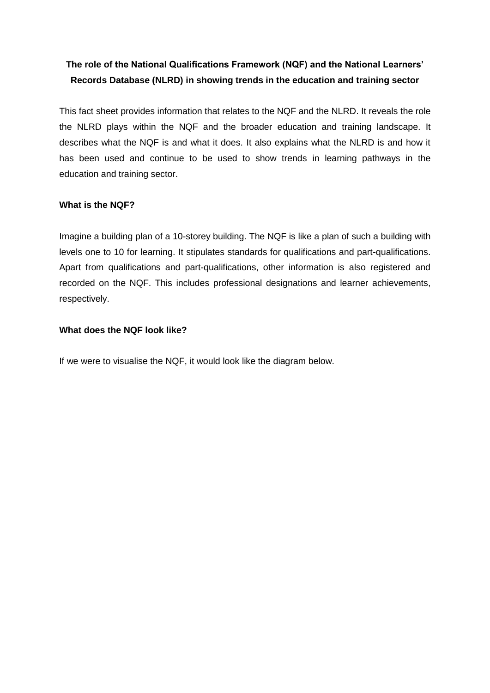# **The role of the National Qualifications Framework (NQF) and the National Learners' Records Database (NLRD) in showing trends in the education and training sector**

This fact sheet provides information that relates to the NQF and the NLRD. It reveals the role the NLRD plays within the NQF and the broader education and training landscape. It describes what the NQF is and what it does. It also explains what the NLRD is and how it has been used and continue to be used to show trends in learning pathways in the education and training sector.

### **What is the NQF?**

Imagine a building plan of a 10-storey building. The NQF is like a plan of such a building with levels one to 10 for learning. It stipulates standards for qualifications and part-qualifications. Apart from qualifications and part-qualifications, other information is also registered and recorded on the NQF. This includes professional designations and learner achievements, respectively.

### **What does the NQF look like?**

If we were to visualise the NQF, it would look like the diagram below.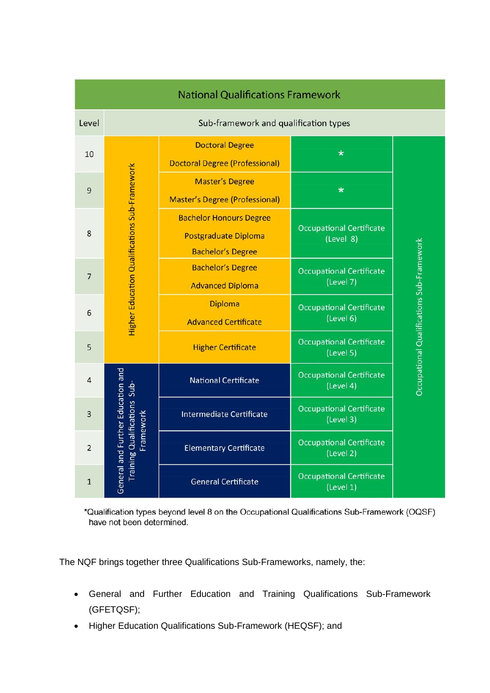| <b>National Qualifications Framework</b> |                                                                                       |                                                                                           |                                              |                                           |  |
|------------------------------------------|---------------------------------------------------------------------------------------|-------------------------------------------------------------------------------------------|----------------------------------------------|-------------------------------------------|--|
| Level                                    | Sub-framework and qualification types                                                 |                                                                                           |                                              |                                           |  |
| 10                                       | Higher Education Qualifications Sub-Framework                                         | <b>Doctoral Degree</b><br><b>Doctoral Degree (Professional)</b>                           | $\ast$                                       | Occupational Qualifications Sub-Framework |  |
| 9                                        |                                                                                       | <b>Master's Degree</b><br><b>Master's Degree (Professional)</b>                           | $\star$                                      |                                           |  |
| 8                                        |                                                                                       | <b>Bachelor Honours Degree</b><br><b>Postgraduate Diploma</b><br><b>Bachelor's Degree</b> | <b>Occupational Certificate</b><br>(Level 8) |                                           |  |
| $\overline{7}$                           |                                                                                       | <b>Bachelor's Degree</b><br><b>Advanced Diploma</b>                                       | <b>Occupational Certificate</b><br>(Level 7) |                                           |  |
| 6                                        |                                                                                       | <b>Diploma</b><br><b>Advanced Certificate</b>                                             | Occupational Certificate<br>(Level 6)        |                                           |  |
| 5                                        |                                                                                       | <b>Higher Certificate</b>                                                                 | <b>Occupational Certificate</b><br>(Level 5) |                                           |  |
| $\overline{a}$                           | General and Further Education and<br><b>Training Qualifications Sub-</b><br>Framework | <b>National Certificate</b>                                                               | <b>Occupational Certificate</b><br>(Level 4) |                                           |  |
| 3                                        |                                                                                       | <b>Intermediate Certificate</b>                                                           | <b>Occupational Certificate</b><br>(Level 3) |                                           |  |
| $\overline{2}$                           |                                                                                       | <b>Elementary Certificate</b>                                                             | <b>Occupational Certificate</b><br>(Level 2) |                                           |  |
| $\mathbf{1}$                             |                                                                                       | <b>General Certificate</b>                                                                | <b>Occupational Certificate</b><br>(Level 1) |                                           |  |

\*Qualification types beyond level 8 on the Occupational Qualifications Sub-Framework (OQSF) have not been determined.

The NQF brings together three Qualifications Sub-Frameworks, namely, the:

- General and Further Education and Training Qualifications Sub-Framework (GFETQSF);
- Higher Education Qualifications Sub-Framework (HEQSF); and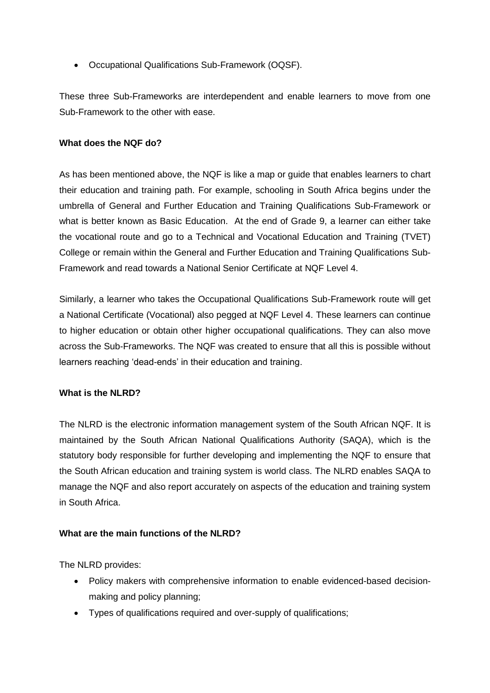Occupational Qualifications Sub-Framework (OQSF).

These three Sub-Frameworks are interdependent and enable learners to move from one Sub-Framework to the other with ease.

### **What does the NQF do?**

As has been mentioned above, the NQF is like a map or guide that enables learners to chart their education and training path. For example, schooling in South Africa begins under the umbrella of General and Further Education and Training Qualifications Sub-Framework or what is better known as Basic Education. At the end of Grade 9, a learner can either take the vocational route and go to a Technical and Vocational Education and Training (TVET) College or remain within the General and Further Education and Training Qualifications Sub-Framework and read towards a National Senior Certificate at NQF Level 4.

Similarly, a learner who takes the Occupational Qualifications Sub-Framework route will get a National Certificate (Vocational) also pegged at NQF Level 4. These learners can continue to higher education or obtain other higher occupational qualifications. They can also move across the Sub-Frameworks. The NQF was created to ensure that all this is possible without learners reaching 'dead-ends' in their education and training.

### **What is the NLRD?**

The NLRD is the electronic information management system of the South African NQF. It is maintained by the South African National Qualifications Authority (SAQA), which is the statutory body responsible for further developing and implementing the NQF to ensure that the South African education and training system is world class. The NLRD enables SAQA to manage the NQF and also report accurately on aspects of the education and training system in South Africa.

### **What are the main functions of the NLRD?**

The NLRD provides:

- Policy makers with comprehensive information to enable evidenced-based decisionmaking and policy planning;
- Types of qualifications required and over-supply of qualifications;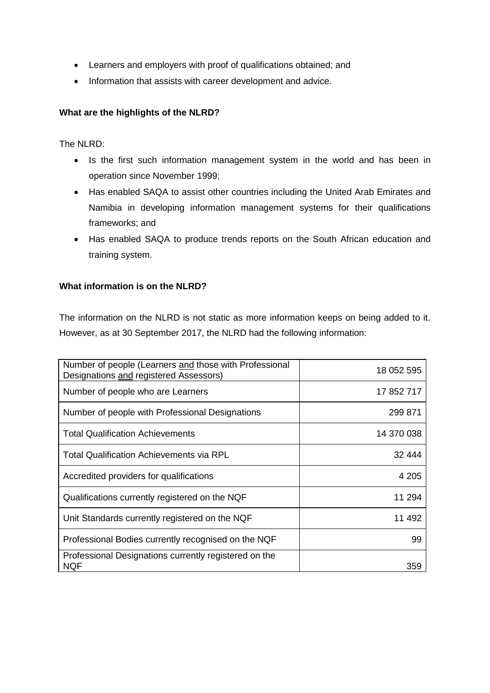- Learners and employers with proof of qualifications obtained; and
- Information that assists with career development and advice.

## **What are the highlights of the NLRD?**

The NLRD:

- Is the first such information management system in the world and has been in operation since November 1999;
- Has enabled SAQA to assist other countries including the United Arab Emirates and Namibia in developing information management systems for their qualifications frameworks; and
- Has enabled SAQA to produce trends reports on the South African education and training system.

### **What information is on the NLRD?**

The information on the NLRD is not static as more information keeps on being added to it. However, as at 30 September 2017, the NLRD had the following information:

| Number of people (Learners and those with Professional<br>Designations and registered Assessors) | 18 052 595 |
|--------------------------------------------------------------------------------------------------|------------|
| Number of people who are Learners                                                                | 17 852 717 |
| Number of people with Professional Designations                                                  | 299 871    |
| <b>Total Qualification Achievements</b>                                                          | 14 370 038 |
| Total Qualification Achievements via RPL                                                         | 32 444     |
| Accredited providers for qualifications                                                          | 4 205      |
| Qualifications currently registered on the NQF                                                   | 11 294     |
| Unit Standards currently registered on the NQF                                                   | 11 492     |
| Professional Bodies currently recognised on the NQF                                              | 99         |
| Professional Designations currently registered on the<br>NQF                                     | 359        |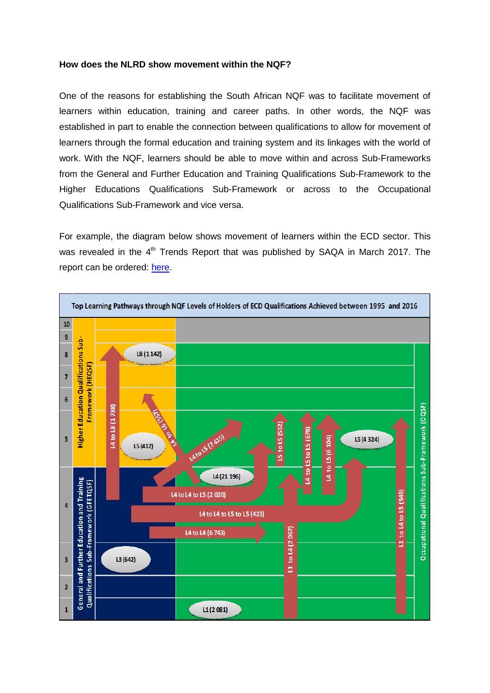#### **How does the NLRD show movement within the NQF?**

One of the reasons for establishing the South African NQF was to facilitate movement of learners within education, training and career paths. In other words, the NQF was established in part to enable the connection between qualifications to allow for movement of learners through the formal education and training system and its linkages with the world of work. With the NQF, learners should be able to move within and across Sub-Frameworks from the General and Further Education and Training Qualifications Sub-Framework to the Higher Educations Qualifications Sub-Framework or across to the Occupational Qualifications Sub-Framework and vice versa.

For example, the diagram below shows movement of learners within the ECD sector. This was revealed in the 4<sup>th</sup> Trends Report that was published by SAQA in March 2017. The report can be ordered: [here.](http://www.saqa.org.za/show.php?id=5689)

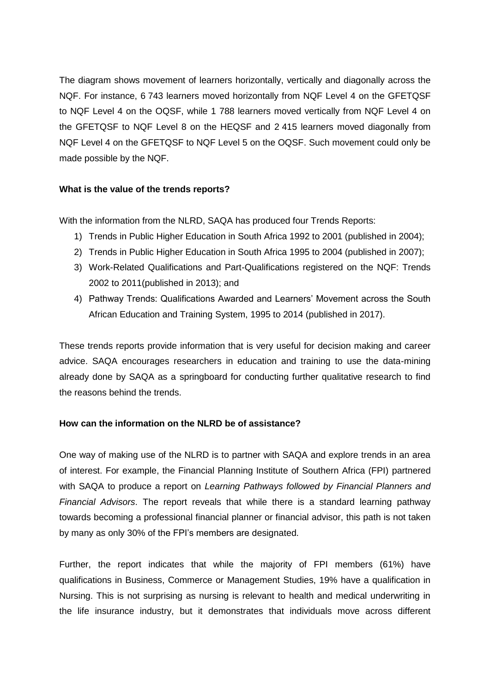The diagram shows movement of learners horizontally, vertically and diagonally across the NQF. For instance, 6 743 learners moved horizontally from NQF Level 4 on the GFETQSF to NQF Level 4 on the OQSF, while 1 788 learners moved vertically from NQF Level 4 on the GFETQSF to NQF Level 8 on the HEQSF and 2 415 learners moved diagonally from NQF Level 4 on the GFETQSF to NQF Level 5 on the OQSF. Such movement could only be made possible by the NQF.

### **What is the value of the trends reports?**

With the information from the NLRD, SAQA has produced four Trends Reports:

- 1) Trends in Public Higher Education in South Africa 1992 to 2001 (published in 2004);
- 2) Trends in Public Higher Education in South Africa 1995 to 2004 (published in 2007);
- 3) Work-Related Qualifications and Part-Qualifications registered on the NQF: Trends 2002 to 2011(published in 2013); and
- 4) Pathway Trends: Qualifications Awarded and Learners' Movement across the South African Education and Training System, 1995 to 2014 (published in 2017).

These trends reports provide information that is very useful for decision making and career advice. SAQA encourages researchers in education and training to use the data-mining already done by SAQA as a springboard for conducting further qualitative research to find the reasons behind the trends.

### **How can the information on the NLRD be of assistance?**

One way of making use of the NLRD is to partner with SAQA and explore trends in an area of interest. For example, the Financial Planning Institute of Southern Africa (FPI) partnered with SAQA to produce a report on *Learning Pathways followed by Financial Planners and Financial Advisors*. The report reveals that while there is a standard learning pathway towards becoming a professional financial planner or financial advisor, this path is not taken by many as only 30% of the FPI's members are designated.

Further, the report indicates that while the majority of FPI members (61%) have qualifications in Business, Commerce or Management Studies, 19% have a qualification in Nursing. This is not surprising as nursing is relevant to health and medical underwriting in the life insurance industry, but it demonstrates that individuals move across different